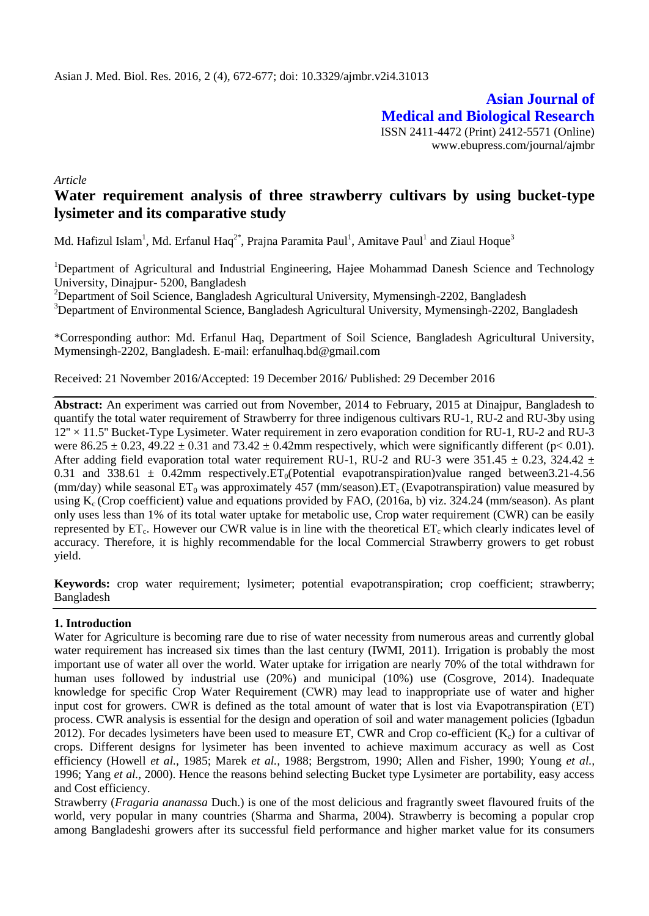**Asian Journal of Medical and Biological Research** ISSN 2411-4472 (Print) 2412-5571 (Online) www.ebupress.com/journal/ajmbr

*Article*

# **Water requirement analysis of three strawberry cultivars by using bucket-type lysimeter and its comparative study**

Md. Hafizul Islam<sup>1</sup>, Md. Erfanul Haq<sup>2\*</sup>, Prajna Paramita Paul<sup>1</sup>, Amitave Paul<sup>1</sup> and Ziaul Hoque<sup>3</sup>

<sup>1</sup>Department of Agricultural and Industrial Engineering, Hajee Mohammad Danesh Science and Technology University, Dinajpur- 5200, Bangladesh

<sup>2</sup>Department of Soil Science, Bangladesh Agricultural University, Mymensingh-2202, Bangladesh <sup>3</sup>Department of Environmental Science, Bangladesh Agricultural University, Mymensingh-2202, Bangladesh

\*Corresponding author: Md. Erfanul Haq, Department of Soil Science, Bangladesh Agricultural University, Mymensingh-2202, Bangladesh. E-mail: erfanulhaq.bd@gmail.com

Received: 21 November 2016/Accepted: 19 December 2016/ Published: 29 December 2016

**Abstract:** An experiment was carried out from November, 2014 to February, 2015 at Dinajpur, Bangladesh to quantify the total water requirement of Strawberry for three indigenous cultivars RU-1, RU-2 and RU-3by using 12'' × 11.5'' Bucket-Type Lysimeter. Water requirement in zero evaporation condition for RU-1, RU-2 and RU-3 were  $86.25 \pm 0.23$ ,  $49.22 \pm 0.31$  and  $73.42 \pm 0.42$  mm respectively, which were significantly different (p< 0.01). After adding field evaporation total water requirement RU-1, RU-2 and RU-3 were 351.45  $\pm$  0.23, 324.42  $\pm$ 0.31 and 338.61  $\pm$  0.42mm respectively. ET<sub>0</sub>(Potential evapotranspiration)value ranged between 3.21-4.56 (mm/day) while seasonal  $ET_0$  was approximately 457 (mm/season). $ET_c$  (Evapotranspiration) value measured by using  $K_c$  (Crop coefficient) value and equations provided by FAO, (2016a, b) viz. 324.24 (mm/season). As plant only uses less than 1% of its total water uptake for metabolic use, Crop water requirement (CWR) can be easily represented by  $ET_c$ . However our CWR value is in line with the theoretical  $ET_c$  which clearly indicates level of accuracy. Therefore, it is highly recommendable for the local Commercial Strawberry growers to get robust yield.

**Keywords:** crop water requirement; lysimeter; potential evapotranspiration; crop coefficient; strawberry; Bangladesh

# **1. Introduction**

Water for Agriculture is becoming rare due to rise of water necessity from numerous areas and currently global water requirement has increased six times than the last century (IWMI, 2011). Irrigation is probably the most important use of water all over the world. Water uptake for irrigation are nearly 70% of the total withdrawn for human uses followed by industrial use (20%) and municipal (10%) use (Cosgrove, 2014). Inadequate knowledge for specific Crop Water Requirement (CWR) may lead to inappropriate use of water and higher input cost for growers. CWR is defined as the total amount of water that is lost via Evapotranspiration (ET) process. CWR analysis is essential for the design and operation of soil and water management policies (Igbadun 2012). For decades lysimeters have been used to measure ET, CWR and Crop co-efficient  $(K_c)$  for a cultivar of crops. Different designs for lysimeter has been invented to achieve maximum accuracy as well as Cost efficiency (Howell *et al.,* 1985; Marek *et al.,* 1988; Bergstrom, 1990; Allen and Fisher, 1990; Young *et al.,* 1996; Yang *et al.,* 2000). Hence the reasons behind selecting Bucket type Lysimeter are portability, easy access and Cost efficiency.

Strawberry (*Fragaria ananassa* Duch.) is one of the most delicious and fragrantly sweet flavoured fruits of the world, very popular in many countries (Sharma and Sharma, 2004). Strawberry is becoming a popular crop among Bangladeshi growers after its successful field performance and higher market value for its consumers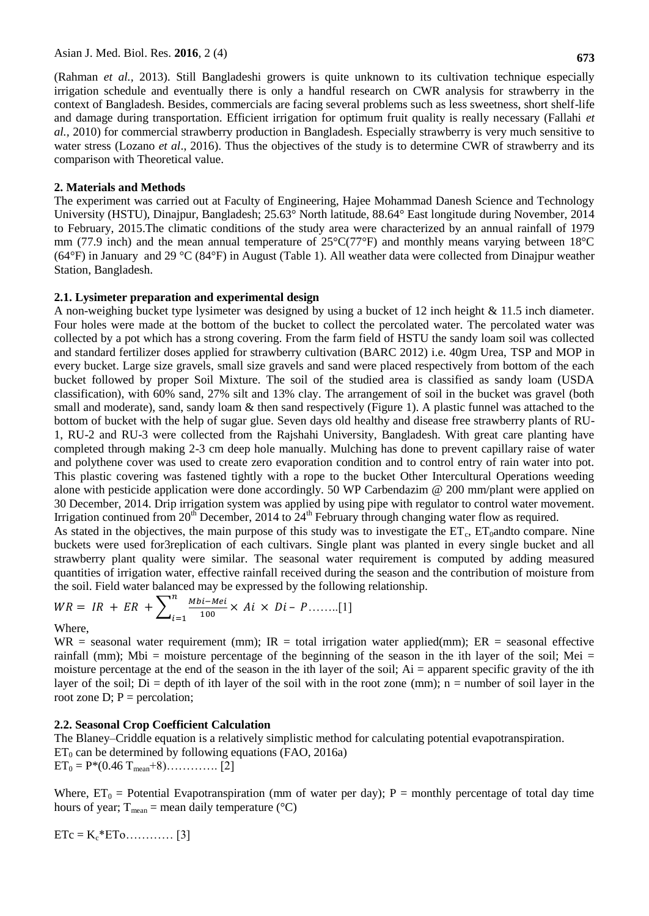(Rahman *et al.,* 2013). Still Bangladeshi growers is quite unknown to its cultivation technique especially irrigation schedule and eventually there is only a handful research on CWR analysis for strawberry in the context of Bangladesh. Besides, commercials are facing several problems such as less sweetness, short shelf-life and damage during transportation. Efficient irrigation for optimum fruit quality is really necessary (Fallahi *et al.,* 2010) for commercial strawberry production in Bangladesh. Especially strawberry is very much sensitive to water stress (Lozano *et al.*, 2016). Thus the objectives of the study is to determine CWR of strawberry and its comparison with Theoretical value.

## **2. Materials and Methods**

The experiment was carried out at Faculty of Engineering, Hajee Mohammad Danesh Science and Technology University (HSTU), Dinajpur, Bangladesh; 25.63° North latitude, 88.64° East longitude during November, 2014 to February, 2015.The climatic conditions of the study area were characterized by an annual rainfall of 1979 mm (77.9 inch) and the mean annual temperature of 25°C(77°F) and monthly means varying between 18°C (64°F) in January and 29 °C (84°F) in August (Table 1). All weather data were collected from Dinajpur weather Station, Bangladesh.

#### **2.1. Lysimeter preparation and experimental design**

A non-weighing bucket type lysimeter was designed by using a bucket of 12 inch height & 11.5 inch diameter. Four holes were made at the bottom of the bucket to collect the percolated water. The percolated water was collected by a pot which has a strong covering. From the farm field of HSTU the sandy loam soil was collected and standard fertilizer doses applied for strawberry cultivation (BARC 2012) i.e. 40gm Urea, TSP and MOP in every bucket. Large size gravels, small size gravels and sand were placed respectively from bottom of the each bucket followed by proper Soil Mixture. The soil of the studied area is classified as sandy loam (USDA classification), with 60% sand, 27% silt and 13% clay. The arrangement of soil in the bucket was gravel (both small and moderate), sand, sandy loam & then sand respectively (Figure 1). A plastic funnel was attached to the bottom of bucket with the help of sugar glue. Seven days old healthy and disease free strawberry plants of RU-1, RU-2 and RU-3 were collected from the Rajshahi University, Bangladesh. With great care planting have completed through making 2-3 cm deep hole manually. Mulching has done to prevent capillary raise of water and polythene cover was used to create zero evaporation condition and to control entry of rain water into pot. This plastic covering was fastened tightly with a rope to the bucket Other Intercultural Operations weeding alone with pesticide application were done accordingly. 50 WP Carbendazim @ 200 mm/plant were applied on 30 December, 2014. Drip irrigation system was applied by using pipe with regulator to control water movement. Irrigation continued from  $20<sup>th</sup>$  December, 2014 to  $24<sup>th</sup>$  February through changing water flow as required.

As stated in the objectives, the main purpose of this study was to investigate the  $ET_c$ ,  $ET_0$ andto compare. Nine buckets were used for3replication of each cultivars. Single plant was planted in every single bucket and all strawberry plant quality were similar. The seasonal water requirement is computed by adding measured quantities of irrigation water, effective rainfall received during the season and the contribution of moisture from the soil. Field water balanced may be expressed by the following relationship.

$$
WR = IR + ER + \sum_{i=1}^{n} \frac{Mbi - Mei}{100} \times Ai \times Di - P \dots \dots \dots [1]
$$

#### Where,

 $WR$  = seasonal water requirement (mm);  $IR$  = total irrigation water applied(mm);  $ER$  = seasonal effective rainfall (mm); Mbi = moisture percentage of the beginning of the season in the ith layer of the soil; Mei = moisture percentage at the end of the season in the ith layer of the soil; Ai = apparent specific gravity of the ith layer of the soil; Di = depth of ith layer of the soil with in the root zone (mm); n = number of soil layer in the root zone D;  $P =$  percolation;

# **2.2. Seasonal Crop Coefficient Calculation**

The Blaney–Criddle equation is a relatively simplistic method for calculating potential evapotranspiration.  $ET_0$  can be determined by following equations (FAO, 2016a)  $ET_0 = P*(0.46 T_{mean}+8)...$  [2]

Where,  $ET_0$  = Potential Evapotranspiration (mm of water per day); P = monthly percentage of total day time hours of year;  $T_{mean}$  = mean daily temperature ( $°C$ )

ETc = Kc\*ETo………… [3]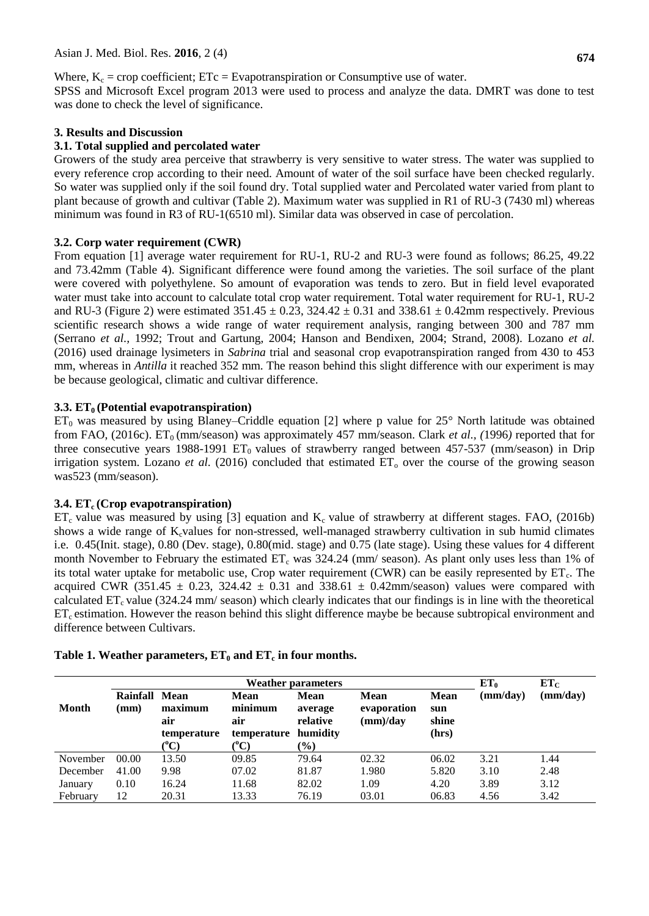# Where,  $K_c$  = crop coefficient; ETc = Evapotranspiration or Consumptive use of water.

SPSS and Microsoft Excel program 2013 were used to process and analyze the data. DMRT was done to test was done to check the level of significance.

# **3. Results and Discussion**

# **3.1. Total supplied and percolated water**

Growers of the study area perceive that strawberry is very sensitive to water stress. The water was supplied to every reference crop according to their need. Amount of water of the soil surface have been checked regularly. So water was supplied only if the soil found dry. Total supplied water and Percolated water varied from plant to plant because of growth and cultivar (Table 2). Maximum water was supplied in R1 of RU-3 (7430 ml) whereas minimum was found in R3 of RU-1(6510 ml). Similar data was observed in case of percolation.

# **3.2. Corp water requirement (CWR)**

From equation [1] average water requirement for RU-1, RU-2 and RU-3 were found as follows; 86.25, 49.22 and 73.42mm (Table 4). Significant difference were found among the varieties. The soil surface of the plant were covered with polyethylene. So amount of evaporation was tends to zero. But in field level evaporated water must take into account to calculate total crop water requirement. Total water requirement for RU-1, RU-2 and RU-3 (Figure 2) were estimated  $351.45 \pm 0.23$ ,  $324.42 \pm 0.31$  and  $338.61 \pm 0.42$ mm respectively. Previous scientific research shows a wide range of water requirement analysis, ranging between 300 and 787 mm (Serrano *et al.,* 1992; Trout and Gartung, 2004; Hanson and Bendixen, 2004; Strand, 2008). Lozano *et al.* (2016) used drainage lysimeters in *Sabrina* trial and seasonal crop evapotranspiration ranged from 430 to 453 mm, whereas in *Antilla* it reached 352 mm. The reason behind this slight difference with our experiment is may be because geological, climatic and cultivar difference.

# **3.3. ET0 (Potential evapotranspiration)**

 $ET_0$  was measured by using Blaney–Criddle equation [2] where p value for 25° North latitude was obtained from FAO, (2016c). ET<sub>0</sub> (mm/season) was approximately 457 mm/season. Clark *et al.*, (1996) reported that for three consecutive years 1988-1991  $ET_0$  values of strawberry ranged between 457-537 (mm/season) in Drip irrigation system. Lozano *et al.* (2016) concluded that estimated  $ET_0$  over the course of the growing season was523 (mm/season).

# **3.4. ET<sup>c</sup> (Crop evapotranspiration)**

 $ET_c$  value was measured by using [3] equation and  $K_c$  value of strawberry at different stages. FAO, (2016b) shows a wide range of K<sub>c</sub>values for non-stressed, well-managed strawberry cultivation in sub humid climates i.e. 0.45(Init. stage), 0.80 (Dev. stage), 0.80(mid. stage) and 0.75 (late stage). Using these values for 4 different month November to February the estimated  $ET_c$  was 324.24 (mm/ season). As plant only uses less than 1% of its total water uptake for metabolic use, Crop water requirement (CWR) can be easily represented by  $ET_c$ . The acquired CWR (351.45  $\pm$  0.23, 324.42  $\pm$  0.31 and 338.61  $\pm$  0.42mm/season) values were compared with calculated  $ET_c$  value (324.24 mm/ season) which clearly indicates that our findings is in line with the theoretical  $ET<sub>c</sub>$  estimation. However the reason behind this slight difference maybe be because subtropical environment and difference between Cultivars.

|          | <b>Weather parameters</b>   |                                                    |                                                      |                                                          |                                        |                                      | $ET_0$   | $ET_C$   |
|----------|-----------------------------|----------------------------------------------------|------------------------------------------------------|----------------------------------------------------------|----------------------------------------|--------------------------------------|----------|----------|
| Month    | Rainfall<br>$(\mathbf{mm})$ | Mean<br>maximum<br>air<br>temperature<br>$({}^oC)$ | <b>Mean</b><br>minimum<br>air<br>temperature<br>(°C) | <b>Mean</b><br>average<br>relative<br>humidity<br>$(\%)$ | <b>Mean</b><br>evaporation<br>(mm)/day | <b>Mean</b><br>sun<br>shine<br>(hrs) | (mm/day) | (mm/day) |
| November | 00.00                       | 13.50                                              | 09.85                                                | 79.64                                                    | 02.32                                  | 06.02                                | 3.21     | 1.44     |
| December | 41.00                       | 9.98                                               | 07.02                                                | 81.87                                                    | 1.980                                  | 5.820                                | 3.10     | 2.48     |
| January  | 0.10                        | 16.24                                              | 11.68                                                | 82.02                                                    | 1.09                                   | 4.20                                 | 3.89     | 3.12     |
| February | 12                          | 20.31                                              | 13.33                                                | 76.19                                                    | 03.01                                  | 06.83                                | 4.56     | 3.42     |

# **Table 1. Weather parameters, ET<sup>0</sup> and ET<sup>c</sup> in four months.**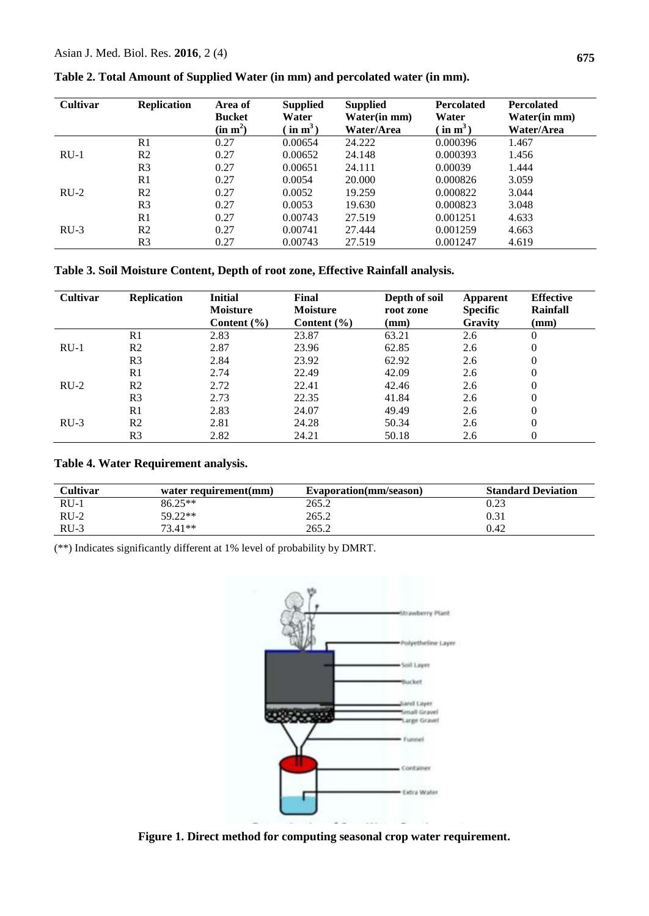| <b>Cultivar</b> | <b>Replication</b> | Area of<br><b>Bucket</b><br>(in m <sup>2</sup> ) | <b>Supplied</b><br>Water<br>$\sin m^3$ | <b>Supplied</b><br>Water(in mm)<br>Water/Area | <b>Percolated</b><br>Water<br>$\left(\text{ in }\mathbf{m}^3\right)$ | <b>Percolated</b><br>Water(in mm)<br>Water/Area |
|-----------------|--------------------|--------------------------------------------------|----------------------------------------|-----------------------------------------------|----------------------------------------------------------------------|-------------------------------------------------|
|                 | R <sub>1</sub>     | 0.27                                             | 0.00654                                | 24.222                                        | 0.000396                                                             | 1.467                                           |
| $RU-1$          | R <sub>2</sub>     | 0.27                                             | 0.00652                                | 24.148                                        | 0.000393                                                             | 1.456                                           |
|                 | R <sub>3</sub>     | 0.27                                             | 0.00651                                | 24.111                                        | 0.00039                                                              | 1.444                                           |
|                 | R1                 | 0.27                                             | 0.0054                                 | 20,000                                        | 0.000826                                                             | 3.059                                           |
| $RU-2$          | R <sub>2</sub>     | 0.27                                             | 0.0052                                 | 19.259                                        | 0.000822                                                             | 3.044                                           |
|                 | R <sub>3</sub>     | 0.27                                             | 0.0053                                 | 19.630                                        | 0.000823                                                             | 3.048                                           |
|                 | R <sub>1</sub>     | 0.27                                             | 0.00743                                | 27.519                                        | 0.001251                                                             | 4.633                                           |
| $RU-3$          | R <sub>2</sub>     | 0.27                                             | 0.00741                                | 27.444                                        | 0.001259                                                             | 4.663                                           |
|                 | R <sub>3</sub>     | 0.27                                             | 0.00743                                | 27.519                                        | 0.001247                                                             | 4.619                                           |

**Table 2. Total Amount of Supplied Water (in mm) and percolated water (in mm).**

**Table 3. Soil Moisture Content, Depth of root zone, Effective Rainfall analysis.**

| <b>Cultivar</b> | <b>Replication</b> | <b>Initial</b>                     | Final                              | Depth of soil     | Apparent                          | <b>Effective</b><br>Rainfall |
|-----------------|--------------------|------------------------------------|------------------------------------|-------------------|-----------------------------------|------------------------------|
|                 |                    | <b>Moisture</b><br>Content $(\% )$ | <b>Moisture</b><br>Content $(\% )$ | root zone<br>(mm) | <b>Specific</b><br><b>Gravity</b> | $(\mathbf{mm})$              |
|                 | R <sub>1</sub>     | 2.83                               | 23.87                              | 63.21             | 2.6                               | $\theta$                     |
| $RU-1$          | R <sub>2</sub>     | 2.87                               | 23.96                              | 62.85             | 2.6                               | $\theta$                     |
|                 | R <sub>3</sub>     | 2.84                               | 23.92                              | 62.92             | 2.6                               | $\theta$                     |
|                 | R1                 | 2.74                               | 22.49                              | 42.09             | 2.6                               | $\theta$                     |
| $RU-2$          | R <sub>2</sub>     | 2.72                               | 22.41                              | 42.46             | 2.6                               | $\theta$                     |
|                 | R <sub>3</sub>     | 2.73                               | 22.35                              | 41.84             | 2.6                               | $\theta$                     |
|                 | R1                 | 2.83                               | 24.07                              | 49.49             | 2.6                               | $\Omega$                     |
| $RU-3$          | R <sub>2</sub>     | 2.81                               | 24.28                              | 50.34             | 2.6                               | $\theta$                     |
|                 | R <sub>3</sub>     | 2.82                               | 24.21                              | 50.18             | 2.6                               | $\overline{0}$               |

**Table 4. Water Requirement analysis.**

| <b>Cultivar</b> | water requirement(mm) | Evaporation(mm/season) | <b>Standard Deviation</b> |
|-----------------|-----------------------|------------------------|---------------------------|
| $RU-1$          | $86.25**$             | 265.2                  | 0.23                      |
| $RU-2$          | 59.22**               | 265.2                  |                           |
| $RU-3$          | 73.41**               | 265.2                  | 0.42                      |

(\*\*) Indicates significantly different at 1% level of probability by DMRT.



**Figure 1. Direct method for computing seasonal crop water requirement.**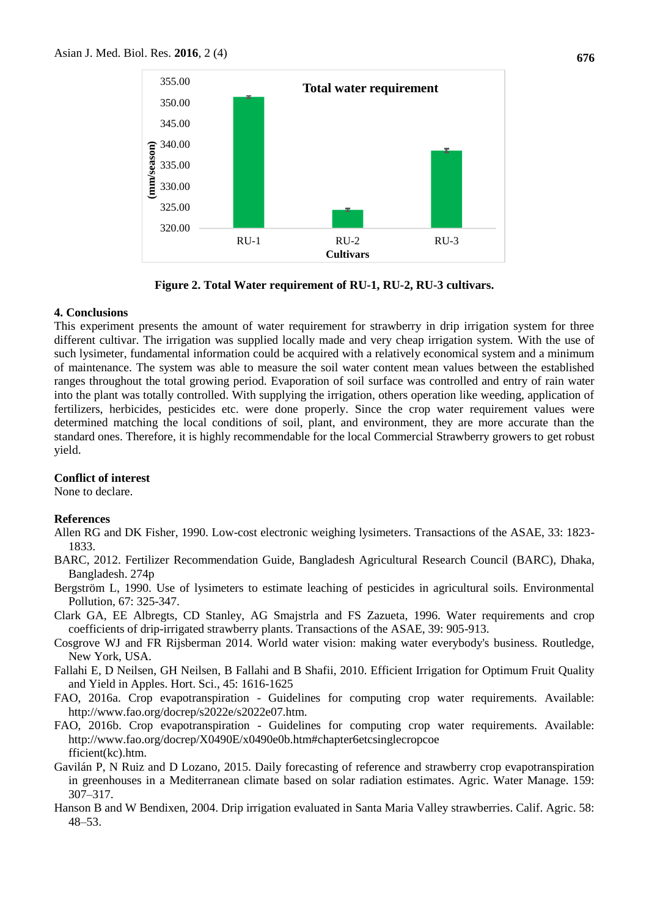

**Figure 2. Total Water requirement of RU-1, RU-2, RU-3 cultivars.**

#### **4. Conclusions**

This experiment presents the amount of water requirement for strawberry in drip irrigation system for three different cultivar. The irrigation was supplied locally made and very cheap irrigation system. With the use of such lysimeter, fundamental information could be acquired with a relatively economical system and a minimum of maintenance. The system was able to measure the soil water content mean values between the established ranges throughout the total growing period. Evaporation of soil surface was controlled and entry of rain water into the plant was totally controlled. With supplying the irrigation, others operation like weeding, application of fertilizers, herbicides, pesticides etc. were done properly. Since the crop water requirement values were determined matching the local conditions of soil, plant, and environment, they are more accurate than the standard ones. Therefore, it is highly recommendable for the local Commercial Strawberry growers to get robust yield.

#### **Conflict of interest**

None to declare.

#### **References**

- Allen RG and DK Fisher, 1990. Low-cost electronic weighing lysimeters. Transactions of the ASAE, 33: 1823- 1833.
- BARC, 2012. Fertilizer Recommendation Guide, Bangladesh Agricultural Research Council (BARC), Dhaka, Bangladesh. 274p
- Bergström L, 1990. Use of lysimeters to estimate leaching of pesticides in agricultural soils. Environmental Pollution, 67: 325-347.
- Clark GA, EE Albregts, CD Stanley, AG Smajstrla and FS Zazueta, 1996. Water requirements and crop coefficients of drip-irrigated strawberry plants. Transactions of the ASAE, 39: 905-913.
- Cosgrove WJ and FR Rijsberman 2014. World water vision: making water everybody's business. Routledge, New York, USA.
- Fallahi E, D Neilsen, GH Neilsen, B Fallahi and B Shafii, 2010. Efficient Irrigation for Optimum Fruit Quality and Yield in Apples. Hort. Sci., 45: 1616-1625
- FAO, 2016a. Crop evapotranspiration Guidelines for computing crop water requirements. Available: <http://www.fao.org/docrep/s2022e/s2022e07.htm.>
- FAO, 2016b. Crop evapotranspiration Guidelines for computing crop water requirements. Available: [http://www.fao.org/docrep/X0490E/x0490e0b.htm#chapter6etcsinglecropcoe](http://www.fao.org/docrep/X0490E/x0490e0b.htm#chapter6etcsinglecropcoefficient(kc).htm.) [fficient\(kc\).htm.](http://www.fao.org/docrep/X0490E/x0490e0b.htm#chapter6etcsinglecropcoefficient(kc).htm.)
- Gavilán P, N Ruiz and D Lozano, 2015. Daily forecasting of reference and strawberry crop evapotranspiration in greenhouses in a Mediterranean climate based on solar radiation estimates. Agric. Water Manage. 159: 307–317.
- Hanson B and W Bendixen, 2004. Drip irrigation evaluated in Santa Maria Valley strawberries. Calif. Agric. 58: 48–53.